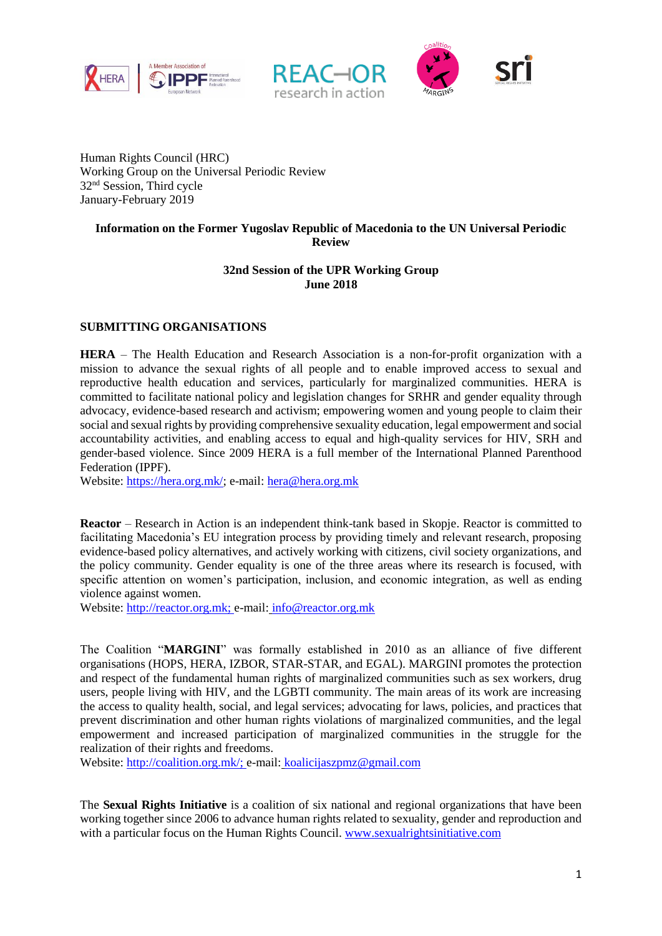



Human Rights Council (HRC) Working Group on the Universal Periodic Review 32nd Session, Third cycle January-February 2019

## **Information on the Former Yugoslav Republic of Macedonia to the UN Universal Periodic Review**

# **32nd Session of the UPR Working Group June 2018**

### **SUBMITTING ORGANISATIONS**

**HERA** – The Health Education and Research Association is a non-for-profit organization with a mission to advance the sexual rights of all people and to enable improved access to sexual and reproductive health education and services, particularly for marginalized communities. HERA is committed to facilitate national policy and legislation changes for SRHR and gender equality through advocacy, evidence-based research and activism; empowering women and young people to claim their social and sexual rights by providing comprehensive sexuality education, legal empowerment and social accountability activities, and enabling access to equal and high-quality services for HIV, SRH and gender-based violence. Since 2009 HERA is a full member of the International Planned Parenthood Federation (IPPF).

Website: [https://hera.org.mk/;](https://hera.org.mk/) e-mail: [hera@hera.org.mk](mailto:hera@hera.org.mk)

**Reactor** – Research in Action is an independent think-tank based in Skopje. Reactor is committed to facilitating Macedonia's EU integration process by providing timely and relevant research, proposing evidence-based policy alternatives, and actively working with citizens, civil society organizations, and the policy community. Gender equality is one of the three areas where its research is focused, with specific attention on women's participation, inclusion, and economic integration, as well as ending violence against women.

Website: [http://reactor.org.mk;](http://reactor.org.mk/) e-mail: info@reactor.org.mk

The Coalition "**MARGINI**" was formally established in 2010 as an alliance of five different organisations (HOPS, HERA, IZBOR, STAR-STAR, and EGAL). MARGINI promotes the protection and respect of the fundamental human rights of marginalized communities such as sex workers, drug users, people living with HIV, and the LGBTI community. The main areas of its work are increasing the access to quality health, social, and legal services; advocating for laws, policies, and practices that prevent discrimination and other human rights violations of marginalized communities, and the legal empowerment and increased participation of marginalized communities in the struggle for the realization of their rights and freedoms.

Website: [http://coalition.org.mk/;](http://coalition.org.mk/) e-mail: koalicijaszpmz@gmail.com

The **Sexual Rights Initiative** is a coalition of six national and regional organizations that have been working together since 2006 to advance human rights related to sexuality, gender and reproduction and with a particular focus on the Human Rights Council. [www.sexualrightsinitiative.com](http://www.sexualrightsinitiative.com/)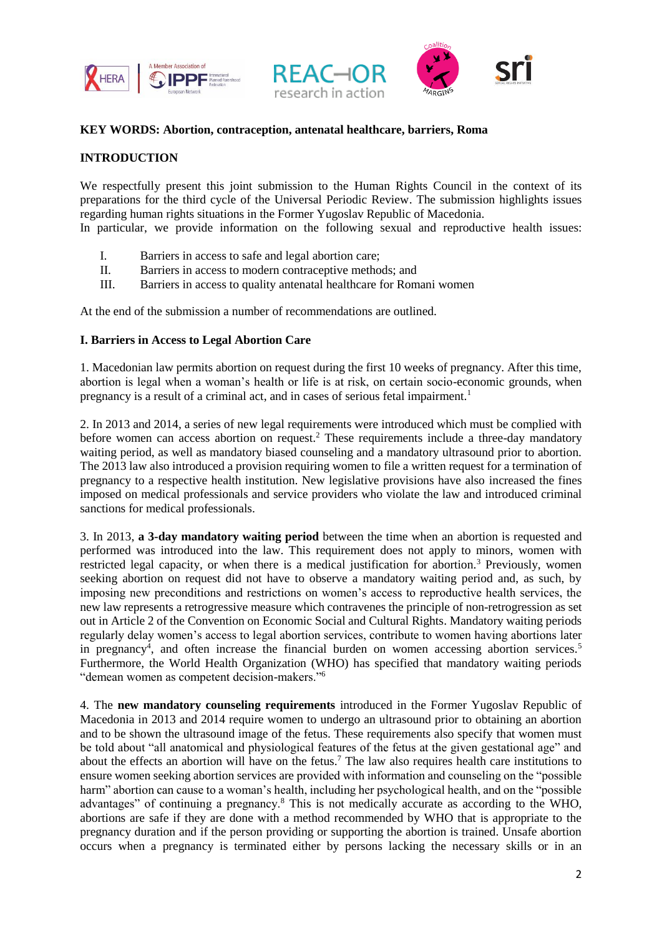



#### **KEY WORDS: Abortion, contraception, antenatal healthcare, barriers, Roma**

#### **INTRODUCTION**

We respectfully present this joint submission to the Human Rights Council in the context of its preparations for the third cycle of the Universal Periodic Review. The submission highlights issues regarding human rights situations in the Former Yugoslav Republic of Macedonia.

In particular, we provide information on the following sexual and reproductive health issues:

- I. Barriers in access to safe and legal abortion care;
- II. Barriers in access to modern contraceptive methods; and
- III. Barriers in access to quality antenatal healthcare for Romani women

At the end of the submission a number of recommendations are outlined.

#### **I. Barriers in Access to Legal Abortion Care**

1. Macedonian law permits abortion on request during the first 10 weeks of pregnancy. After this time, abortion is legal when a woman's health or life is at risk, on certain socio-economic grounds, when pregnancy is a result of a criminal act, and in cases of serious fetal impairment.<sup>1</sup>

2. In 2013 and 2014, a series of new legal requirements were introduced which must be complied with before women can access abortion on request.<sup>2</sup> These requirements include a three-day mandatory waiting period, as well as mandatory biased counseling and a mandatory ultrasound prior to abortion. The 2013 law also introduced a provision requiring women to file a written request for a termination of pregnancy to a respective health institution. New legislative provisions have also increased the fines imposed on medical professionals and service providers who violate the law and introduced criminal sanctions for medical professionals.

3. In 2013, **a 3-day mandatory waiting period** between the time when an abortion is requested and performed was introduced into the law. This requirement does not apply to minors, women with restricted legal capacity, or when there is a medical justification for abortion.<sup>3</sup> Previously, women seeking abortion on request did not have to observe a mandatory waiting period and, as such, by imposing new preconditions and restrictions on women's access to reproductive health services, the new law represents a retrogressive measure which contravenes the principle of non-retrogression as set out in Article 2 of the Convention on Economic Social and Cultural Rights. Mandatory waiting periods regularly delay women's access to legal abortion services, contribute to women having abortions later in pregnancy<sup>4</sup>, and often increase the financial burden on women accessing abortion services.<sup>5</sup> Furthermore, the World Health Organization (WHO) has specified that mandatory waiting periods "demean women as competent decision-makers."<sup>6</sup>

4. The **new mandatory counseling requirements** introduced in the Former Yugoslav Republic of Macedonia in 2013 and 2014 require women to undergo an ultrasound prior to obtaining an abortion and to be shown the ultrasound image of the fetus. These requirements also specify that women must be told about "all anatomical and physiological features of the fetus at the given gestational age" and about the effects an abortion will have on the fetus.<sup>7</sup> The law also requires health care institutions to ensure women seeking abortion services are provided with information and counseling on the "possible harm" abortion can cause to a woman's health, including her psychological health, and on the "possible advantages" of continuing a pregnancy.<sup>8</sup> This is not medically accurate as according to the WHO, abortions are safe if they are done with a method recommended by WHO that is appropriate to the pregnancy duration and if the person providing or supporting the abortion is trained. Unsafe abortion occurs when a pregnancy is terminated either by persons lacking the necessary skills or in an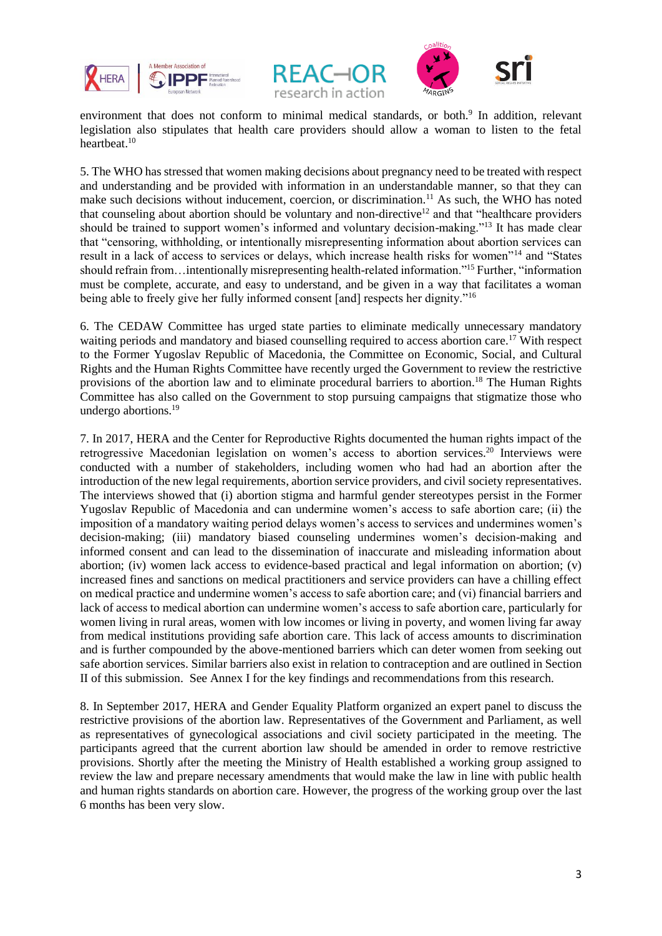





environment that does not conform to minimal medical standards, or both.<sup>9</sup> In addition, relevant legislation also stipulates that health care providers should allow a woman to listen to the fetal heartheat.<sup>10</sup>

5. The WHO has stressed that women making decisions about pregnancy need to be treated with respect and understanding and be provided with information in an understandable manner, so that they can make such decisions without inducement, coercion, or discrimination.<sup>11</sup> As such, the WHO has noted that counseling about abortion should be voluntary and non-directive<sup>12</sup> and that "healthcare providers" should be trained to support women's informed and voluntary decision-making."<sup>13</sup> It has made clear that "censoring, withholding, or intentionally misrepresenting information about abortion services can result in a lack of access to services or delays, which increase health risks for women"<sup>14</sup> and "States should refrain from…intentionally misrepresenting health-related information."<sup>15</sup> Further, "information must be complete, accurate, and easy to understand, and be given in a way that facilitates a woman being able to freely give her fully informed consent [and] respects her dignity."<sup>16</sup>

6. The CEDAW Committee has urged state parties to eliminate medically unnecessary mandatory waiting periods and mandatory and biased counselling required to access abortion care.<sup>17</sup> With respect to the Former Yugoslav Republic of Macedonia, the Committee on Economic, Social, and Cultural Rights and the Human Rights Committee have recently urged the Government to review the restrictive provisions of the abortion law and to eliminate procedural barriers to abortion.<sup>18</sup> The Human Rights Committee has also called on the Government to stop pursuing campaigns that stigmatize those who undergo abortions.<sup>19</sup>

7. In 2017, HERA and the Center for Reproductive Rights documented the human rights impact of the retrogressive Macedonian legislation on women's access to abortion services.<sup>20</sup> Interviews were conducted with a number of stakeholders, including women who had had an abortion after the introduction of the new legal requirements, abortion service providers, and civil society representatives. The interviews showed that (i) abortion stigma and harmful gender stereotypes persist in the Former Yugoslav Republic of Macedonia and can undermine women's access to safe abortion care; (ii) the imposition of a mandatory waiting period delays women's access to services and undermines women's decision-making; (iii) mandatory biased counseling undermines women's decision-making and informed consent and can lead to the dissemination of inaccurate and misleading information about abortion; (iv) women lack access to evidence-based practical and legal information on abortion; (v) increased fines and sanctions on medical practitioners and service providers can have a chilling effect on medical practice and undermine women's access to safe abortion care; and (vi) financial barriers and lack of access to medical abortion can undermine women's access to safe abortion care, particularly for women living in rural areas, women with low incomes or living in poverty, and women living far away from medical institutions providing safe abortion care. This lack of access amounts to discrimination and is further compounded by the above-mentioned barriers which can deter women from seeking out safe abortion services. Similar barriers also exist in relation to contraception and are outlined in Section II of this submission. See Annex I for the key findings and recommendations from this research.

8. In September 2017, HERA and Gender Equality Platform organized an expert panel to discuss the restrictive provisions of the abortion law. Representatives of the Government and Parliament, as well as representatives of gynecological associations and civil society participated in the meeting. The participants agreed that the current abortion law should be amended in order to remove restrictive provisions. Shortly after the meeting the Ministry of Health established a working group assigned to review the law and prepare necessary amendments that would make the law in line with public health and human rights standards on abortion care. However, the progress of the working group over the last 6 months has been very slow.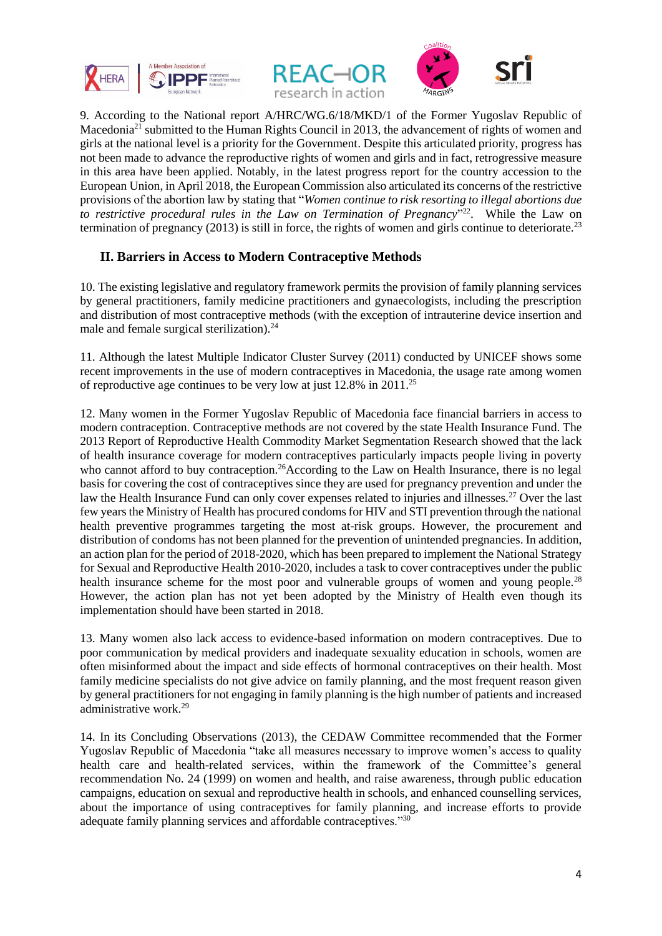





9. According to the National report A/HRC/WG.6/18/MKD/1 of the Former Yugoslav Republic of Macedonia<sup>21</sup> submitted to the Human Rights Council in 2013, the advancement of rights of women and girls at the national level is a priority for the Government. Despite this articulated priority, progress has not been made to advance the reproductive rights of women and girls and in fact, retrogressive measure in this area have been applied. Notably, in the latest progress report for the country accession to the European Union, in April 2018, the European Commission also articulated its concerns of the restrictive provisions of the abortion law by stating that "*Women continue to risk resorting to illegal abortions due*  to restrictive procedural rules in the Law on Termination of Pregnancy<sup>"22</sup>. While the Law on termination of pregnancy (2013) is still in force, the rights of women and girls continue to deteriorate.<sup>23</sup>

# **II. Barriers in Access to Modern Contraceptive Methods**

10. The existing legislative and regulatory framework permits the provision of family planning services by general practitioners, family medicine practitioners and gynaecologists, including the prescription and distribution of most contraceptive methods (with the exception of intrauterine device insertion and male and female surgical sterilization).<sup>24</sup>

11. Although the latest Multiple Indicator Cluster Survey (2011) conducted by UNICEF shows some recent improvements in the use of modern contraceptives in Macedonia, the usage rate among women of reproductive age continues to be very low at just 12.8% in 2011.<sup>25</sup>

12. Many women in the Former Yugoslav Republic of Macedonia face financial barriers in access to modern contraception. Contraceptive methods are not covered by the state Health Insurance Fund. The 2013 Report of Reproductive Health Commodity Market Segmentation Research showed that the lack of health insurance coverage for modern contraceptives particularly impacts people living in poverty who cannot afford to buy contraception.<sup>26</sup>According to the Law on Health Insurance, there is no legal basis for covering the cost of contraceptives since they are used for pregnancy prevention and under the law the Health Insurance Fund can only cover expenses related to injuries and illnesses.<sup>27</sup> Over the last few years the Ministry of Health has procured condoms for HIV and STI prevention through the national health preventive programmes targeting the most at-risk groups. However, the procurement and distribution of condoms has not been planned for the prevention of unintended pregnancies. In addition, an action plan for the period of 2018-2020, which has been prepared to implement the National Strategy for Sexual and Reproductive Health 2010-2020, includes a task to cover contraceptives under the public health insurance scheme for the most poor and vulnerable groups of women and young people.<sup>28</sup> However, the action plan has not yet been adopted by the Ministry of Health even though its implementation should have been started in 2018.

13. Many women also lack access to evidence-based information on modern contraceptives. Due to poor communication by medical providers and inadequate sexuality education in schools, women are often misinformed about the impact and side effects of hormonal contraceptives on their health. Most family medicine specialists do not give advice on family planning, and the most frequent reason given by general practitioners for not engaging in family planning is the high number of patients and increased administrative work.<sup>29</sup>

14. In its Concluding Observations (2013), the CEDAW Committee recommended that the Former Yugoslav Republic of Macedonia "take all measures necessary to improve women's access to quality health care and health-related services, within the framework of the Committee's general recommendation No. 24 (1999) on women and health, and raise awareness, through public education campaigns, education on sexual and reproductive health in schools, and enhanced counselling services, about the importance of using contraceptives for family planning, and increase efforts to provide adequate family planning services and affordable contraceptives."30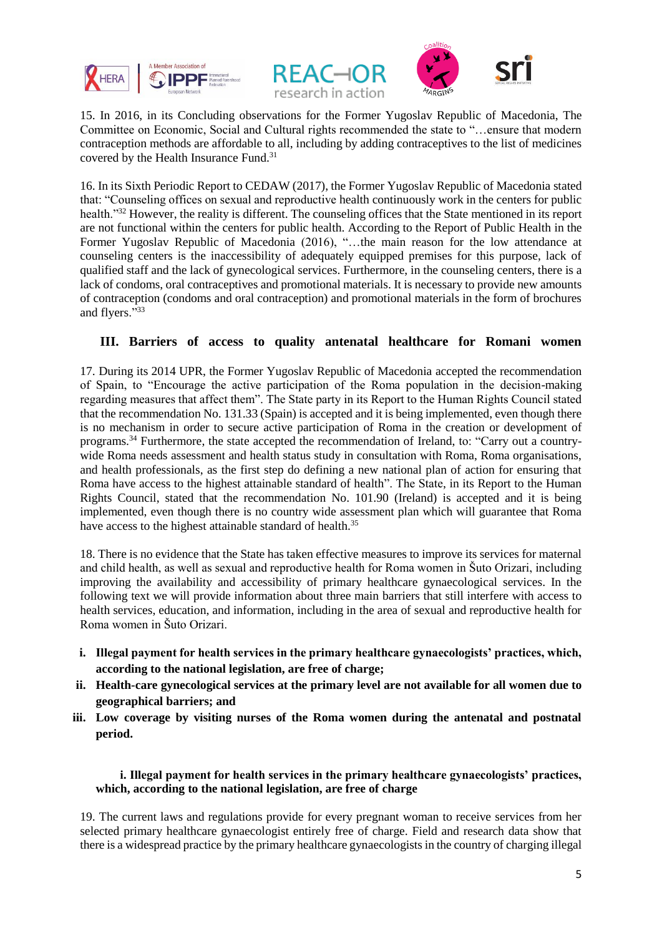





15. In 2016, in its Concluding observations for the Former Yugoslav Republic of Macedonia, The Committee on Economic, Social and Cultural rights recommended the state to "…ensure that modern contraception methods are affordable to all, including by adding contraceptives to the list of medicines covered by the Health Insurance Fund.<sup>31</sup>

16. In its Sixth Periodic Report to CEDAW (2017), the Former Yugoslav Republic of Macedonia stated that: "Counseling offices on sexual and reproductive health continuously work in the centers for public health."<sup>32</sup> However, the reality is different. The counseling offices that the State mentioned in its report are not functional within the centers for public health. According to the Report of Public Health in the Former Yugoslav Republic of Macedonia (2016), "…the main reason for the low attendance at counseling centers is the inaccessibility of adequately equipped premises for this purpose, lack of qualified staff and the lack of gynecological services. Furthermore, in the counseling centers, there is a lack of condoms, oral contraceptives and promotional materials. It is necessary to provide new amounts of contraception (condoms and oral contraception) and promotional materials in the form of brochures and flyers."33

## **III. Barriers of access to quality antenatal healthcare for Romani women**

17. During its 2014 UPR, the Former Yugoslav Republic of Macedonia accepted the recommendation of Spain, to "Encourage the active participation of the Roma population in the decision-making regarding measures that affect them". The State party in its Report to the Human Rights Council stated that the recommendation No. 131.33 (Spain) is accepted and it is being implemented, even though there is no mechanism in order to secure active participation of Roma in the creation or development of programs.<sup>34</sup> Furthermore, the state accepted the recommendation of Ireland, to: "Carry out a countrywide Roma needs assessment and health status study in consultation with Roma, Roma organisations, and health professionals, as the first step do defining a new national plan of action for ensuring that Roma have access to the highest attainable standard of health". The State, in its Report to the Human Rights Council, stated that the recommendation No. 101.90 (Ireland) is accepted and it is being implemented, even though there is no country wide assessment plan which will guarantee that Roma have access to the highest attainable standard of health.<sup>35</sup>

18. There is no evidence that the State has taken effective measures to improve its services for maternal and child health, as well as sexual and reproductive health for Roma women in Šuto Orizari, including improving the availability and accessibility of primary healthcare gynaecological services. In the following text we will provide information about three main barriers that still interfere with access to health services, education, and information, including in the area of sexual and reproductive health for Roma women in Šuto Orizari.

- **i. Illegal payment for health services in the primary healthcare gynaecologists' practices, which, according to the national legislation, are free of charge;**
- **ii. Health-care gynecological services at the primary level are not available for all women due to geographical barriers; and**
- **iii. Low coverage by visiting nurses of the Roma women during the antenatal and postnatal period.**

### **i. Illegal payment for health services in the primary healthcare gynaecologists' practices, which, according to the national legislation, are free of charge**

19. The current laws and regulations provide for every pregnant woman to receive services from her selected primary healthcare gynaecologist entirely free of charge. Field and research data show that there is a widespread practice by the primary healthcare gynaecologists in the country of charging illegal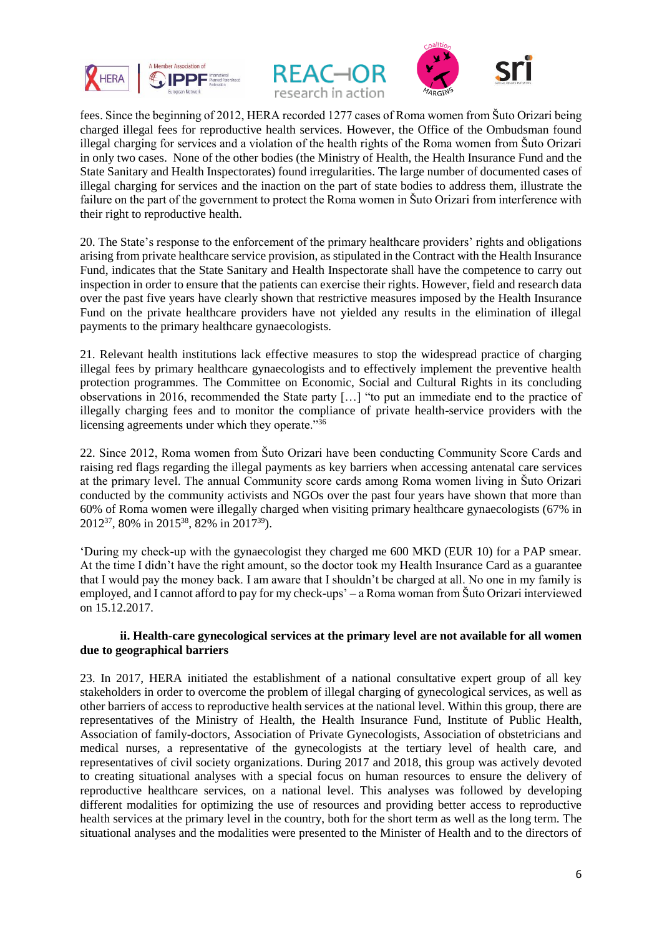





fees. Since the beginning of 2012, HERA recorded 1277 cases of Roma women from Šuto Orizari being charged illegal fees for reproductive health services. However, the Office of the Ombudsman found illegal charging for services and a violation of the health rights of the Roma women from Šuto Orizari in only two cases. None of the other bodies (the Ministry of Health, the Health Insurance Fund and the State Sanitary and Health Inspectorates) found irregularities. The large number of documented cases of illegal charging for services and the inaction on the part of state bodies to address them, illustrate the failure on the part of the government to protect the Roma women in Šuto Orizari from interference with their right to reproductive health.

20. The State's response to the enforcement of the primary healthcare providers' rights and obligations arising from private healthcare service provision, as stipulated in the Contract with the Health Insurance Fund, indicates that the State Sanitary and Health Inspectorate shall have the competence to carry out inspection in order to ensure that the patients can exercise their rights. However, field and research data over the past five years have clearly shown that restrictive measures imposed by the Health Insurance Fund on the private healthcare providers have not yielded any results in the elimination of illegal payments to the primary healthcare gynaecologists.

21. Relevant health institutions lack effective measures to stop the widespread practice of charging illegal fees by primary healthcare gynaecologists and to effectively implement the preventive health protection programmes. The Committee on Economic, Social and Cultural Rights in its concluding observations in 2016, recommended the State party […] "to put an immediate end to the practice of illegally charging fees and to monitor the compliance of private health-service providers with the licensing agreements under which they operate."36

22. Since 2012, Roma women from Šuto Orizari have been conducting Community Score Cards and raising red flags regarding the illegal payments as key barriers when accessing antenatal care services at the primary level. The annual Community score cards among Roma women living in Šuto Orizari conducted by the community activists and NGOs over the past four years have shown that more than 60% of Roma women were illegally charged when visiting primary healthcare gynaecologists (67% in 2012<sup>37</sup>, 80% in 2015<sup>38</sup>, 82% in 2017<sup>39</sup>).

'During my check-up with the gynaecologist they charged me 600 MKD (EUR 10) for a PAP smear. At the time I didn't have the right amount, so the doctor took my Health Insurance Card as a guarantee that I would pay the money back. I am aware that I shouldn't be charged at all. No one in my family is employed, and I cannot afford to pay for my check-ups' – a Roma woman from Šuto Orizari interviewed on 15.12.2017.

### **ii. Health-care gynecological services at the primary level are not available for all women due to geographical barriers**

23. In 2017, HERA initiated the establishment of a national consultative expert group of all key stakeholders in order to overcome the problem of illegal charging of gynecological services, as well as other barriers of access to reproductive health services at the national level. Within this group, there are representatives of the Ministry of Health, the Health Insurance Fund, Institute of Public Health, Association of family-doctors, Association of Private Gynecologists, Association of obstetricians and medical nurses, a representative of the gynecologists at the tertiary level of health care, and representatives of civil society organizations. During 2017 and 2018, this group was actively devoted to creating situational analyses with a special focus on human resources to ensure the delivery of reproductive healthcare services, on a national level. This analyses was followed by developing different modalities for optimizing the use of resources and providing better access to reproductive health services at the primary level in the country, both for the short term as well as the long term. The situational analyses and the modalities were presented to the Minister of Health and to the directors of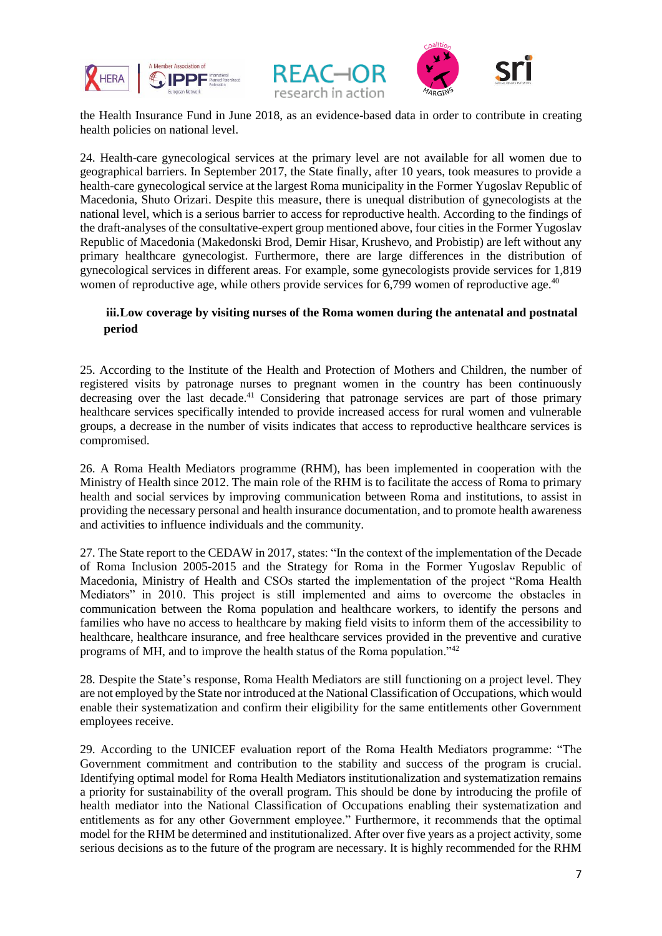



the Health Insurance Fund in June 2018, as an evidence-based data in order to contribute in creating health policies on national level.

24. Health-care gynecological services at the primary level are not available for all women due to geographical barriers. In September 2017, the State finally, after 10 years, took measures to provide a health-care gynecological service at the largest Roma municipality in the Former Yugoslav Republic of Macedonia, Shuto Orizari. Despite this measure, there is unequal distribution of gynecologists at the national level, which is a serious barrier to access for reproductive health. According to the findings of the draft-analyses of the consultative-expert group mentioned above, four cities in the Former Yugoslav Republic of Macedonia (Makedonski Brod, Demir Hisar, Krushevo, and Probistip) are left without any primary healthcare gynecologist. Furthermore, there are large differences in the distribution of gynecological services in different areas. For example, some gynecologists provide services for 1,819 women of reproductive age, while others provide services for  $6,799$  women of reproductive age.<sup>40</sup>

## **iii.Low coverage by visiting nurses of the Roma women during the antenatal and postnatal period**

25. According to the Institute of the Health and Protection of Mothers and Children, the number of registered visits by patronage nurses to pregnant women in the country has been continuously decreasing over the last decade.<sup>41</sup> Considering that patronage services are part of those primary healthcare services specifically intended to provide increased access for rural women and vulnerable groups, a decrease in the number of visits indicates that access to reproductive healthcare services is compromised.

26. A Roma Health Mediators programme (RHM), has been implemented in cooperation with the Ministry of Health since 2012. The main role of the RHM is to facilitate the access of Roma to primary health and social services by improving communication between Roma and institutions, to assist in providing the necessary personal and health insurance documentation, and to promote health awareness and activities to influence individuals and the community.

27. The State report to the CEDAW in 2017, states: "In the context of the implementation of the Decade of Roma Inclusion 2005-2015 and the Strategy for Roma in the Former Yugoslav Republic of Macedonia, Ministry of Health and CSOs started the implementation of the project "Roma Health Mediators" in 2010. This project is still implemented and aims to overcome the obstacles in communication between the Roma population and healthcare workers, to identify the persons and families who have no access to healthcare by making field visits to inform them of the accessibility to healthcare, healthcare insurance, and free healthcare services provided in the preventive and curative programs of MH, and to improve the health status of the Roma population."<sup>42</sup>

28. Despite the State's response, Roma Health Mediators are still functioning on a project level. They are not employed by the State nor introduced at the National Classification of Occupations, which would enable their systematization and confirm their eligibility for the same entitlements other Government employees receive.

29. According to the UNICEF evaluation report of the Roma Health Mediators programme: "The Government commitment and contribution to the stability and success of the program is crucial. Identifying optimal model for Roma Health Mediators institutionalization and systematization remains a priority for sustainability of the overall program. This should be done by introducing the profile of health mediator into the National Classification of Occupations enabling their systematization and entitlements as for any other Government employee." Furthermore, it recommends that the optimal model for the RHM be determined and institutionalized. After over five years as a project activity, some serious decisions as to the future of the program are necessary. It is highly recommended for the RHM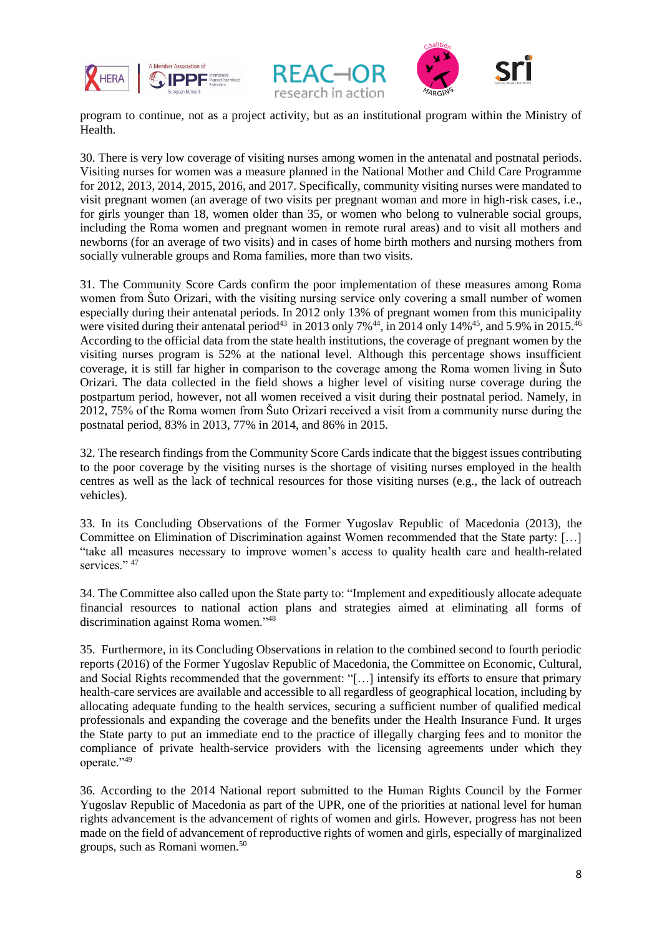



program to continue, not as a project activity, but as an institutional program within the Ministry of Health.

30. There is very low coverage of visiting nurses among women in the antenatal and postnatal periods. Visiting nurses for women was a measure planned in the National Mother and Child Care Programme for 2012, 2013, 2014, 2015, 2016, and 2017. Specifically, community visiting nurses were mandated to visit pregnant women (an average of two visits per pregnant woman and more in high-risk cases, i.e., for girls younger than 18, women older than 35, or women who belong to vulnerable social groups, including the Roma women and pregnant women in remote rural areas) and to visit all mothers and newborns (for an average of two visits) and in cases of home birth mothers and nursing mothers from socially vulnerable groups and Roma families, more than two visits.

31. The Community Score Cards confirm the poor implementation of these measures among Roma women from Šuto Orizari, with the visiting nursing service only covering a small number of women especially during their antenatal periods. In 2012 only 13% of pregnant women from this municipality were visited during their antenatal period<sup>43</sup> in 2013 only 7%<sup>44</sup>, in 2014 only 14%<sup>45</sup>, and 5.9% in 2015.<sup>46</sup> According to the official data from the state health institutions, the coverage of pregnant women by the visiting nurses program is 52% at the national level. Although this percentage shows insufficient coverage, it is still far higher in comparison to the coverage among the Roma women living in Šuto Orizari. The data collected in the field shows a higher level of visiting nurse coverage during the postpartum period, however, not all women received a visit during their postnatal period. Namely, in 2012, 75% of the Roma women from Šuto Orizari received a visit from a community nurse during the postnatal period, 83% in 2013, 77% in 2014, and 86% in 2015.

32. The research findings from the Community Score Cards indicate that the biggest issues contributing to the poor coverage by the visiting nurses is the shortage of visiting nurses employed in the health centres as well as the lack of technical resources for those visiting nurses (e.g., the lack of outreach vehicles).

33. In its Concluding Observations of the Former Yugoslav Republic of Macedonia (2013), the Committee on Elimination of Discrimination against Women recommended that the State party: […] "take all measures necessary to improve women's access to quality health care and health-related services." 47

34. The Committee also called upon the State party to: "Implement and expeditiously allocate adequate financial resources to national action plans and strategies aimed at eliminating all forms of discrimination against Roma women."<sup>48</sup>

35. Furthermore, in its Concluding Observations in relation to the combined second to fourth periodic reports (2016) of the Former Yugoslav Republic of Macedonia, the Committee on Economic, Cultural, and Social Rights recommended that the government: "[…] intensify its efforts to ensure that primary health-care services are available and accessible to all regardless of geographical location, including by allocating adequate funding to the health services, securing a sufficient number of qualified medical professionals and expanding the coverage and the benefits under the Health Insurance Fund. It urges the State party to put an immediate end to the practice of illegally charging fees and to monitor the compliance of private health-service providers with the licensing agreements under which they operate."49

36. According to the 2014 National report submitted to the Human Rights Council by the Former Yugoslav Republic of Macedonia as part of the UPR, one of the priorities at national level for human rights advancement is the advancement of rights of women and girls. However, progress has not been made on the field of advancement of reproductive rights of women and girls, especially of marginalized groups, such as Romani women.50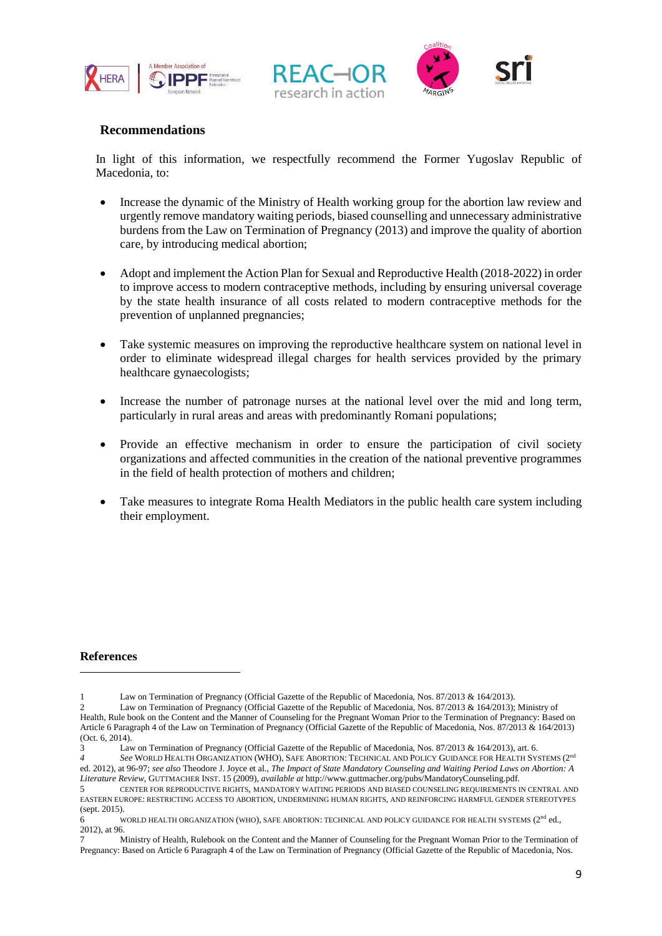



## **Recommendations**

In light of this information, we respectfully recommend the Former Yugoslav Republic of Macedonia, to:

- Increase the dynamic of the Ministry of Health working group for the abortion law review and urgently remove mandatory waiting periods, biased counselling and unnecessary administrative burdens from the Law on Termination of Pregnancy (2013) and improve the quality of abortion care, by introducing medical abortion;
- Adopt and implement the Action Plan for Sexual and Reproductive Health (2018-2022) in order to improve access to modern contraceptive methods, including by ensuring universal coverage by the state health insurance of all costs related to modern contraceptive methods for the prevention of unplanned pregnancies;
- Take systemic measures on improving the reproductive healthcare system on national level in order to eliminate widespread illegal charges for health services provided by the primary healthcare gynaecologists;
- Increase the number of patronage nurses at the national level over the mid and long term, particularly in rural areas and areas with predominantly Romani populations;
- Provide an effective mechanism in order to ensure the participation of civil society organizations and affected communities in the creation of the national preventive programmes in the field of health protection of mothers and children;
- Take measures to integrate Roma Health Mediators in the public health care system including their employment.

#### **References**

 $\overline{a}$ 

*4 See* WORLD HEALTH ORGANIZATION (WHO), SAFE ABORTION: TECHNICAL AND POLICY GUIDANCE FOR HEALTH SYSTEMS (2nd ed. 2012), at 96-97; *see also* Theodore J. Joyce et al., *The Impact of State Mandatory Counseling and Waiting Period Laws on Abortion: A Literature Review*, GUTTMACHER INST. 15 (2009), *available at* http://www.guttmacher.org/pubs/MandatoryCounseling.pdf.

<sup>1</sup> Law on Termination of Pregnancy (Official Gazette of the Republic of Macedonia, Nos. 87/2013 & 164/2013).

<sup>2</sup> Law on Termination of Pregnancy (Official Gazette of the Republic of Macedonia, Nos. 87/2013 & 164/2013); Ministry of Health, Rule book on the Content and the Manner of Counseling for the Pregnant Woman Prior to the Termination of Pregnancy: Based on Article 6 Paragraph 4 of the Law on Termination of Pregnancy (Official Gazette of the Republic of Macedonia, Nos. 87/2013 & 164/2013) (Oct. 6, 2014).

<sup>3</sup> Law on Termination of Pregnancy (Official Gazette of the Republic of Macedonia, Nos. 87/2013 & 164/2013), art. 6.

<sup>5</sup> CENTER FOR REPRODUCTIVE RIGHTS, MANDATORY WAITING PERIODS AND BIASED COUNSELING REQUIREMENTS IN CENTRAL AND EASTERN EUROPE: RESTRICTING ACCESS TO ABORTION, UNDERMINING HUMAN RIGHTS, AND REINFORCING HARMFUL GENDER STEREOTYPES (sept. 2015).

<sup>6</sup> WORLD HEALTH ORGANIZATION (WHO), SAFE ABORTION: TECHNICAL AND POLICY GUIDANCE FOR HEALTH SYSTEMS (2nd ed., 2012), at 96.

<sup>7</sup> Ministry of Health, Rulebook on the Content and the Manner of Counseling for the Pregnant Woman Prior to the Termination of Pregnancy: Based on Article 6 Paragraph 4 of the Law on Termination of Pregnancy (Official Gazette of the Republic of Macedonia, Nos.